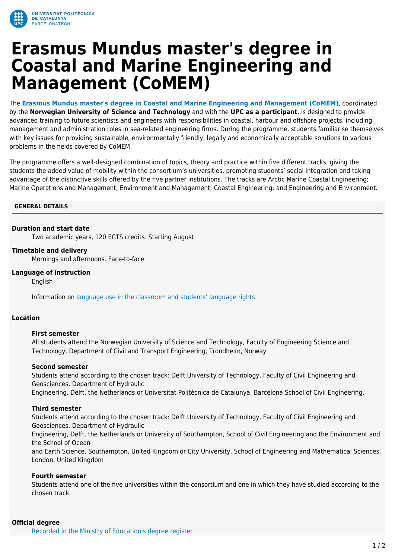

# **Erasmus Mundus master's degree in Coastal and Marine Engineering and Management (CoMEM)**

The **[Erasmus Mundus master's degree in Coastal and Marine Engineering and Management \(CoMEM\)](https://www.ntnu.edu/studies/mscomem)**, coordinated by the **Norwegian University of Science and Technology** and with the **UPC as a participant**, is designed to provide advanced training to future scientists and engineers with responsibilities in coastal, harbour and offshore projects, including management and administration roles in sea-related engineering firms. During the programme, students familiarise themselves with key issues for providing sustainable, environmentally friendly, legally and economically acceptable solutions to various problems in the fields covered by CoMEM.

The programme offers a well-designed combination of topics, theory and practice within five different tracks, giving the students the added value of mobility within the consortium's universities, promoting students' social integration and taking advantage of the distinctive skills offered by the five partner institutions. The tracks are Arctic Marine Coastal Engineering; Marine Operations and Management; Environment and Management; Coastal Engineering; and Engineering and Environment.

## **GENERAL DETAILS**

## **Duration and start date**

Two academic years, 120 ECTS credits. Starting August

## **Timetable and delivery**

Mornings and afternoons. Face-to-face

## **Language of instruction**

English

Information on [language use in the classroom and students' language rights](https://www.upc.edu/slt/en/upc-language-policy/language-uses-rights/language-uses-rights-upc?set_language=en).

# **Location**

## **First semester**

All students attend the Norwegian University of Science and Technology, Faculty of Engineering Science and Technology, Department of Civil and Transport Engineering, Trondheim, Norway

## **Second semester**

Students attend according to the chosen track: Delft University of Technology, Faculty of Civil Engineering and Geosciences, Department of Hydraulic Engineering, Delft, the Netherlands or Universitat Politècnica de Catalunya, Barcelona School of Civil Engineering.

## **Third semester**

Students attend according to the chosen track: Delft University of Technology, Faculty of Civil Engineering and Geosciences, Department of Hydraulic

Engineering, Delft, the Netherlands or University of Southampton, School of Civil Engineering and the Environment and the School of Ocean

and Earth Science, Southampton, United Kingdom or City University, School of Engineering and Mathematical Sciences, London, United Kingdom

# **Fourth semester**

Students attend one of the five universities within the consortium and one in which they have studied according to the chosen track.